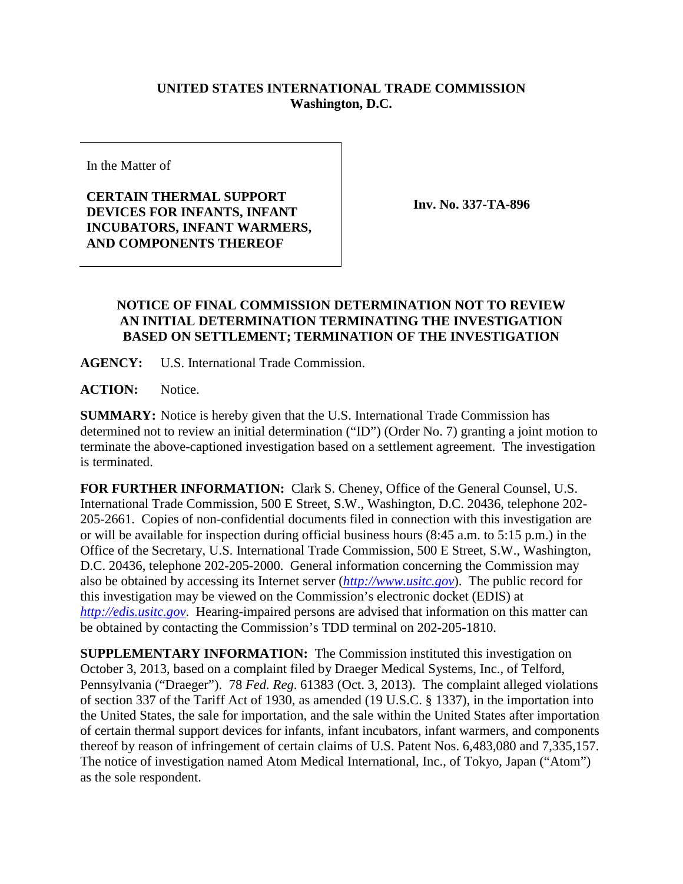## **UNITED STATES INTERNATIONAL TRADE COMMISSION Washington, D.C.**

In the Matter of

## **CERTAIN THERMAL SUPPORT DEVICES FOR INFANTS, INFANT INCUBATORS, INFANT WARMERS, AND COMPONENTS THEREOF**

**Inv. No. 337-TA-896**

## **NOTICE OF FINAL COMMISSION DETERMINATION NOT TO REVIEW AN INITIAL DETERMINATION TERMINATING THE INVESTIGATION BASED ON SETTLEMENT; TERMINATION OF THE INVESTIGATION**

**AGENCY:** U.S. International Trade Commission.

**ACTION:** Notice.

**SUMMARY:** Notice is hereby given that the U.S. International Trade Commission has determined not to review an initial determination ("ID") (Order No. 7) granting a joint motion to terminate the above-captioned investigation based on a settlement agreement. The investigation is terminated.

**FOR FURTHER INFORMATION:** Clark S. Cheney, Office of the General Counsel, U.S. International Trade Commission, 500 E Street, S.W., Washington, D.C. 20436, telephone 202- 205-2661. Copies of non-confidential documents filed in connection with this investigation are or will be available for inspection during official business hours (8:45 a.m. to 5:15 p.m.) in the Office of the Secretary, U.S. International Trade Commission, 500 E Street, S.W., Washington, D.C. 20436, telephone 202-205-2000. General information concerning the Commission may also be obtained by accessing its Internet server (*[http://www.usitc.gov](http://www.usitc.gov/)*). The public record for this investigation may be viewed on the Commission's electronic docket (EDIS) at *[http://edis.usitc.gov](http://edis.usitc.gov/)*. Hearing-impaired persons are advised that information on this matter can be obtained by contacting the Commission's TDD terminal on 202-205-1810.

**SUPPLEMENTARY INFORMATION:** The Commission instituted this investigation on October 3, 2013, based on a complaint filed by Draeger Medical Systems, Inc., of Telford, Pennsylvania ("Draeger"). 78 *Fed. Reg*. 61383 (Oct. 3, 2013). The complaint alleged violations of section 337 of the Tariff Act of 1930, as amended (19 U.S.C. § 1337), in the importation into the United States, the sale for importation, and the sale within the United States after importation of certain thermal support devices for infants, infant incubators, infant warmers, and components thereof by reason of infringement of certain claims of U.S. Patent Nos. 6,483,080 and 7,335,157. The notice of investigation named Atom Medical International, Inc., of Tokyo, Japan ("Atom") as the sole respondent.